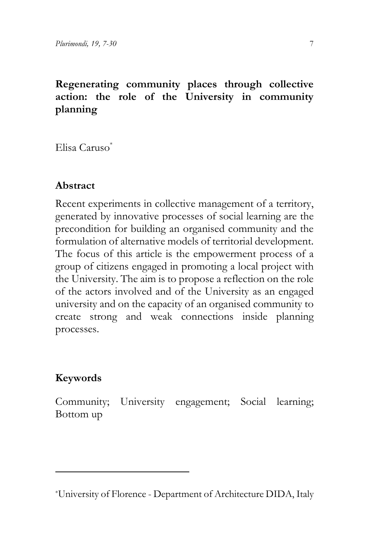## **Regenerating community places through collective action: the role of the University in community planning**

Elisa Caruso\*[1](#page-0-0)

## **Abstract**

Recent experiments in collective management of a territory, generated by innovative processes of social learning are the precondition for building an organised community and the formulation of alternative models of territorial development. The focus of this article is the empowerment process of a group of citizens engaged in promoting a local project with the University. The aim is to propose a reflection on the role of the actors involved and of the University as an engaged university and on the capacity of an organised community to create strong and weak connections inside planning processes.

## **Keywords**

Community; University engagement; Social learning; Bottom up

<span id="page-0-0"></span><sup>\*</sup>University of Florence - Department of Architecture DIDA, Italy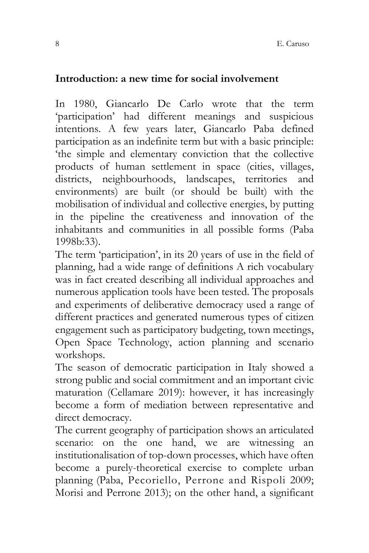### **Introduction: a new time for social involvement**

In 1980, Giancarlo De Carlo wrote that the term 'participation' had different meanings and suspicious intentions. A few years later, Giancarlo Paba defined participation as an indefinite term but with a basic principle: 'the simple and elementary conviction that the collective products of human settlement in space (cities, villages, districts, neighbourhoods, landscapes, territories and environments) are built (or should be built) with the mobilisation of individual and collective energies, by putting in the pipeline the creativeness and innovation of the inhabitants and communities in all possible forms (Paba 1998b:33).

The term 'participation', in its 20 years of use in the field of planning, had a wide range of definitions A rich vocabulary was in fact created describing all individual approaches and numerous application tools have been tested. The proposals and experiments of deliberative democracy used a range of different practices and generated numerous types of citizen engagement such as participatory budgeting, town meetings, Open Space Technology, action planning and scenario workshops.

The season of democratic participation in Italy showed a strong public and social commitment and an important civic maturation (Cellamare 2019): however, it has increasingly become a form of mediation between representative and direct democracy.

The current geography of participation shows an articulated scenario: on the one hand, we are witnessing an institutionalisation of top-down processes, which have often become a purely-theoretical exercise to complete urban planning (Paba, Pecoriello, Perrone and Rispoli 2009; Morisi and Perrone 2013); on the other hand, a significant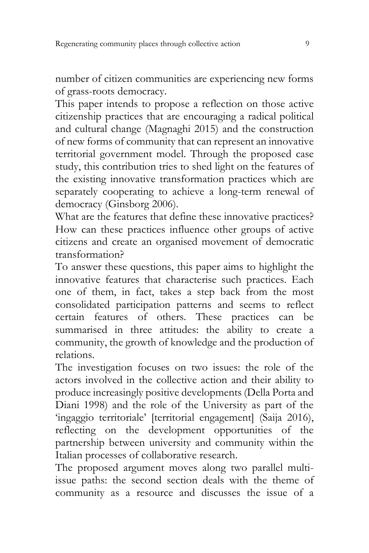number of citizen communities are experiencing new forms of grass-roots democracy.

This paper intends to propose a reflection on those active citizenship practices that are encouraging a radical political and cultural change (Magnaghi 2015) and the construction of new forms of community that can represent an innovative territorial government model. Through the proposed case study, this contribution tries to shed light on the features of the existing innovative transformation practices which are separately cooperating to achieve a long-term renewal of democracy (Ginsborg 2006).

What are the features that define these innovative practices? How can these practices influence other groups of active citizens and create an organised movement of democratic transformation?

To answer these questions, this paper aims to highlight the innovative features that characterise such practices. Each one of them, in fact, takes a step back from the most consolidated participation patterns and seems to reflect certain features of others. These practices can be summarised in three attitudes: the ability to create a community, the growth of knowledge and the production of relations.

The investigation focuses on two issues: the role of the actors involved in the collective action and their ability to produce increasingly positive developments (Della Porta and Diani 1998) and the role of the University as part of the 'ingaggio territoriale' [territorial engagement] (Saija 2016), reflecting on the development opportunities of the partnership between university and community within the Italian processes of collaborative research.

The proposed argument moves along two parallel multiissue paths: the second section deals with the theme of community as a resource and discusses the issue of a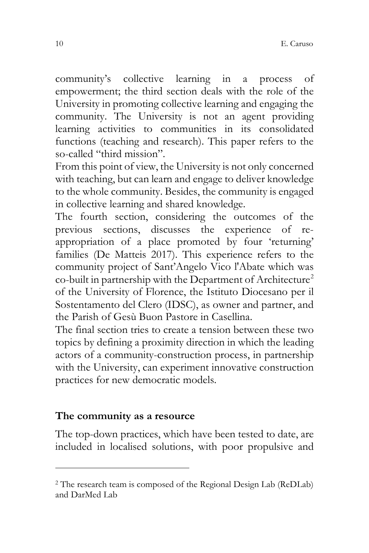community's collective learning in a process of empowerment; the third section deals with the role of the University in promoting collective learning and engaging the community. The University is not an agent providing learning activities to communities in its consolidated functions (teaching and research). This paper refers to the so-called "third mission".

From this point of view, the University is not only concerned with teaching, but can learn and engage to deliver knowledge to the whole community. Besides, the community is engaged in collective learning and shared knowledge.

The fourth section, considering the outcomes of the previous sections, discusses the experience of reappropriation of a place promoted by four 'returning' families (De Matteis 2017). This experience refers to the community project of Sant'Angelo Vico l'Abate which was co-built in partnership with the Department of Architecture<sup>[2](#page-3-0)</sup> of the University of Florence, the Istituto Diocesano per il Sostentamento del Clero (IDSC), as owner and partner, and the Parish of Gesù Buon Pastore in Casellina.

The final section tries to create a tension between these two topics by defining a proximity direction in which the leading actors of a community-construction process, in partnership with the University, can experiment innovative construction practices for new democratic models.

#### **The community as a resource**

The top-down practices, which have been tested to date, are included in localised solutions, with poor propulsive and

<span id="page-3-0"></span><sup>2</sup> The research team is composed of the Regional Design Lab (ReDLab) and DarMed Lab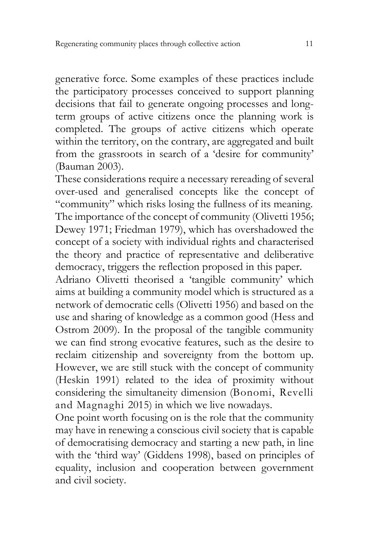generative force. Some examples of these practices include the participatory processes conceived to support planning decisions that fail to generate ongoing processes and longterm groups of active citizens once the planning work is completed. The groups of active citizens which operate within the territory, on the contrary, are aggregated and built from the grassroots in search of a 'desire for community' (Bauman 2003).

These considerations require a necessary rereading of several over-used and generalised concepts like the concept of "community" which risks losing the fullness of its meaning. The importance of the concept of community (Olivetti 1956; Dewey 1971; Friedman 1979), which has overshadowed the concept of a society with individual rights and characterised the theory and practice of representative and deliberative democracy, triggers the reflection proposed in this paper.

Adriano Olivetti theorised a 'tangible community' which aims at building a community model which is structured as a network of democratic cells (Olivetti 1956) and based on the use and sharing of knowledge as a common good (Hess and Ostrom 2009). In the proposal of the tangible community we can find strong evocative features, such as the desire to reclaim citizenship and sovereignty from the bottom up. However, we are still stuck with the concept of community (Heskin 1991) related to the idea of proximity without considering the simultaneity dimension (Bonomi, Revelli and Magnaghi 2015) in which we live nowadays.

One point worth focusing on is the role that the community may have in renewing a conscious civil society that is capable of democratising democracy and starting a new path, in line with the 'third way' (Giddens 1998), based on principles of equality, inclusion and cooperation between government and civil society.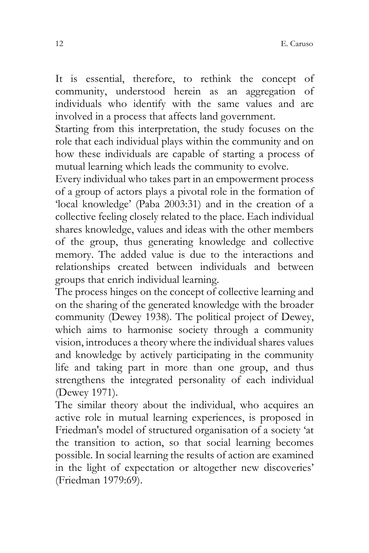It is essential, therefore, to rethink the concept of community, understood herein as an aggregation of individuals who identify with the same values and are involved in a process that affects land government.

Starting from this interpretation, the study focuses on the role that each individual plays within the community and on how these individuals are capable of starting a process of mutual learning which leads the community to evolve.

Every individual who takes part in an empowerment process of a group of actors plays a pivotal role in the formation of 'local knowledge' (Paba 2003:31) and in the creation of a collective feeling closely related to the place. Each individual shares knowledge, values and ideas with the other members of the group, thus generating knowledge and collective memory. The added value is due to the interactions and relationships created between individuals and between groups that enrich individual learning.

The process hinges on the concept of collective learning and on the sharing of the generated knowledge with the broader community (Dewey 1938). The political project of Dewey, which aims to harmonise society through a community vision, introduces a theory where the individual shares values and knowledge by actively participating in the community life and taking part in more than one group, and thus strengthens the integrated personality of each individual (Dewey 1971).

The similar theory about the individual, who acquires an active role in mutual learning experiences, is proposed in Friedman's model of structured organisation of a society 'at the transition to action, so that social learning becomes possible. In social learning the results of action are examined in the light of expectation or altogether new discoveries' (Friedman 1979:69).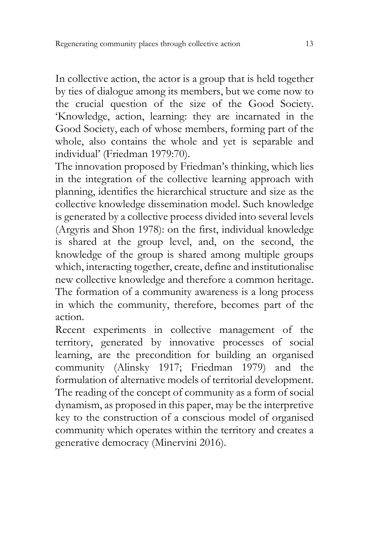In collective action, the actor is a group that is held together by ties of dialogue among its members, but we come now to the crucial question of the size of the Good Society. 'Knowledge, action, learning: they are incarnated in the Good Society, each of whose members, forming part of the whole, also contains the whole and yet is separable and individual' (Friedman 1979:70).

The innovation proposed by Friedman's thinking, which lies in the integration of the collective learning approach with planning, identifies the hierarchical structure and size as the collective knowledge dissemination model. Such knowledge is generated by a collective process divided into several levels (Argyris and Shon 1978): on the first, individual knowledge is shared at the group level, and, on the second, the knowledge of the group is shared among multiple groups which, interacting together, create, define and institutionalise new collective knowledge and therefore a common heritage. The formation of a community awareness is a long process in which the community, therefore, becomes part of the action.

Recent experiments in collective management of the territory, generated by innovative processes of social learning, are the precondition for building an organised community (Alinsky 1917; Friedman 1979) and the formulation of alternative models of territorial development. The reading of the concept of community as a form of social dynamism, as proposed in this paper, may be the interpretive key to the construction of a conscious model of organised community which operates within the territory and creates a generative democracy (Minervini 2016).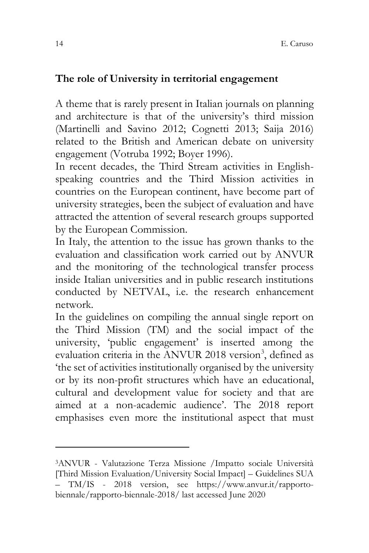### **The role of University in territorial engagement**

A theme that is rarely present in Italian journals on planning and architecture is that of the university's third mission (Martinelli and Savino 2012; Cognetti 2013; Saija 2016) related to the British and American debate on university engagement (Votruba 1992; Boyer 1996).

In recent decades, the Third Stream activities in Englishspeaking countries and the Third Mission activities in countries on the European continent, have become part of university strategies, been the subject of evaluation and have attracted the attention of several research groups supported by the European Commission.

In Italy, the attention to the issue has grown thanks to the evaluation and classification work carried out by ANVUR and the monitoring of the technological transfer process inside Italian universities and in public research institutions conducted by NETVAL, i.e. the research enhancement network.

In the guidelines on compiling the annual single report on the Third Mission (TM) and the social impact of the university, 'public engagement' is inserted among the evaluation criteria in the ANVUR 2018 version<sup>[3](#page-7-0)</sup>, defined as 'the set of activities institutionally organised by the university or by its non-profit structures which have an educational, cultural and development value for society and that are aimed at a non-academic audience'. The 2018 report emphasises even more the institutional aspect that must

<span id="page-7-0"></span><sup>3</sup>ANVUR - Valutazione Terza Missione /Impatto sociale Università [Third Mission Evaluation/University Social Impact] – Guidelines SUA – TM/IS - 2018 version, see [https://www.anvur.it/rapporto](https://www.anvur.it/rapporto-biennale/rapporto-biennale-2018/)[biennale/rapporto-biennale-2018/](https://www.anvur.it/rapporto-biennale/rapporto-biennale-2018/) last accessed June 2020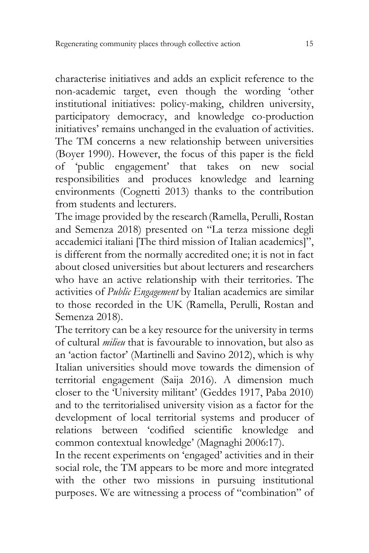characterise initiatives and adds an explicit reference to the non-academic target, even though the wording 'other institutional initiatives: policy-making, children university, participatory democracy, and knowledge co-production initiatives' remains unchanged in the evaluation of activities. The TM concerns a new relationship between universities (Boyer 1990). However, the focus of this paper is the field of 'public engagement' that takes on new social responsibilities and produces knowledge and learning environments (Cognetti 2013) thanks to the contribution from students and lecturers.

The image provided by the research(Ramella, Perulli, Rostan and [Semenza](https://www.ibs.it/search/?ts=as&query=renata+semenza&searchField=Contributors) 2018) presented on "La terza missione degli accademici italiani [The third mission of Italian academics]", is different from the normally accredited one; it is not in fact about closed universities but about lecturers and researchers who have an active relationship with their territories. The activities of *Public Engagement* by Italian academics are similar to those recorded in the UK (Ramella, Perulli, Rostan and [Semenza](https://www.ibs.it/search/?ts=as&query=renata+semenza&searchField=Contributors) 2018).

The territory can be a key resource for the university in terms of cultural *milieu* that is favourable to innovation, but also as an 'action factor' (Martinelli and Savino 2012), which is why Italian universities should move towards the dimension of territorial engagement (Saija 2016). A dimension much closer to the 'University militant' (Geddes 1917, Paba 2010) and to the territorialised university vision as a factor for the development of local territorial systems and producer of relations between 'codified scientific knowledge and common contextual knowledge' (Magnaghi 2006:17).

In the recent experiments on 'engaged' activities and in their social role, the TM appears to be more and more integrated with the other two missions in pursuing institutional purposes. We are witnessing a process of "combination" of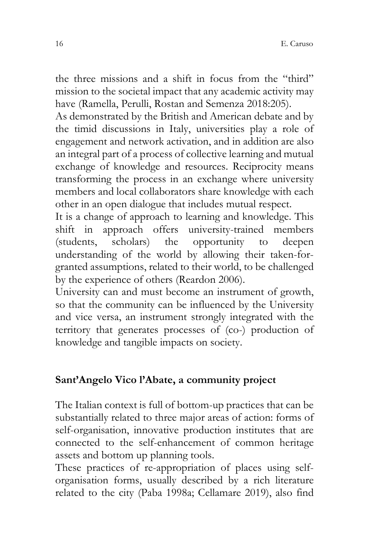the three missions and a shift in focus from the "third" mission to the societal impact that any academic activity may have (Ramella, Perulli, Rostan and [Semenza](https://www.ibs.it/search/?ts=as&query=renata+semenza&searchField=Contributors) 2018:205).

As demonstrated by the British and American debate and by the timid discussions in Italy, universities play a role of engagement and network activation, and in addition are also an integral part of a process of collective learning and mutual exchange of knowledge and resources. Reciprocity means transforming the process in an exchange where university members and local collaborators share knowledge with each other in an open dialogue that includes mutual respect.

It is a change of approach to learning and knowledge. This shift in approach offers university-trained members (students, scholars) the opportunity to deepen understanding of the world by allowing their taken-forgranted assumptions, related to their world, to be challenged by the experience of others (Reardon 2006).

University can and must become an instrument of growth, so that the community can be influenced by the University and vice versa, an instrument strongly integrated with the territory that generates processes of (co-) production of knowledge and tangible impacts on society.

## **Sant'Angelo Vico l'Abate, a community project**

The Italian context is full of bottom-up practices that can be substantially related to three major areas of action: forms of self-organisation, innovative production institutes that are connected to the self-enhancement of common heritage assets and bottom up planning tools.

These practices of re-appropriation of places using selforganisation forms, usually described by a rich literature related to the city (Paba 1998a; Cellamare 2019), also find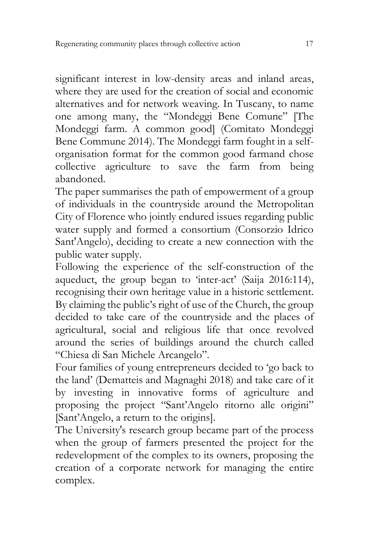significant interest in low-density areas and inland areas, where they are used for the creation of social and economic alternatives and for network weaving. In Tuscany, to name one among many, the "Mondeggi Bene Comune" [The Mondeggi farm. A common good] (Comitato Mondeggi Bene Commune 2014). The Mondeggi farm fought in a selforganisation format for the common good farmand chose collective agriculture to save the farm from being abandoned.

The paper summarises the path of empowerment of a group of individuals in the countryside around the Metropolitan City of Florence who jointly endured issues regarding public water supply and formed a consortium (Consorzio Idrico Sant'Angelo), deciding to create a new connection with the public water supply.

Following the experience of the self-construction of the aqueduct, the group began to 'inter-act' (Saija 2016:114), recognising their own heritage value in a historic settlement. By claiming the public's right of use of the Church, the group decided to take care of the countryside and the places of agricultural, social and religious life that once revolved around the series of buildings around the church called "Chiesa di San Michele Arcangelo".

Four families of young entrepreneurs decided to 'go back to the land' (Dematteis and Magnaghi 2018) and take care of it by investing in innovative forms of agriculture and proposing the project "Sant'Angelo ritorno alle origini" [Sant'Angelo, a return to the origins].

The University's research group became part of the process when the group of farmers presented the project for the redevelopment of the complex to its owners, proposing the creation of a corporate network for managing the entire complex.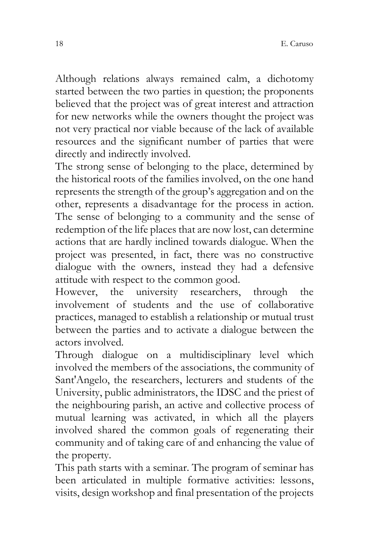Although relations always remained calm, a dichotomy started between the two parties in question; the proponents believed that the project was of great interest and attraction for new networks while the owners thought the project was not very practical nor viable because of the lack of available resources and the significant number of parties that were directly and indirectly involved.

The strong sense of belonging to the place, determined by the historical roots of the families involved, on the one hand represents the strength of the group's aggregation and on the other, represents a disadvantage for the process in action. The sense of belonging to a community and the sense of redemption of the life places that are now lost, can determine actions that are hardly inclined towards dialogue. When the project was presented, in fact, there was no constructive dialogue with the owners, instead they had a defensive attitude with respect to the common good.

However, the university researchers, through the involvement of students and the use of collaborative practices, managed to establish a relationship or mutual trust between the parties and to activate a dialogue between the actors involved.

Through dialogue on a multidisciplinary level which involved the members of the associations, the community of Sant'Angelo, the researchers, lecturers and students of the University, public administrators, the IDSC and the priest of the neighbouring parish, an active and collective process of mutual learning was activated, in which all the players involved shared the common goals of regenerating their community and of taking care of and enhancing the value of the property.

This path starts with a seminar. The program of seminar has been articulated in multiple formative activities: lessons, visits, design workshop and final presentation of the projects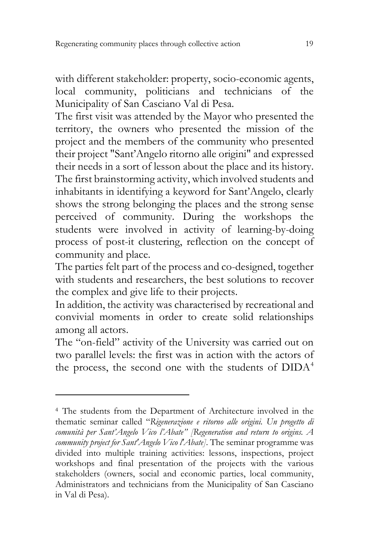with different stakeholder: property, socio-economic agents, local community, politicians and technicians of the Municipality of San Casciano Val di Pesa.

The first visit was attended by the Mayor who presented the territory, the owners who presented the mission of the project and the members of the community who presented their project "Sant'Angelo ritorno alle origini" and expressed their needs in a sort of lesson about the place and its history. The first brainstorming activity, which involved students and inhabitants in identifying a keyword for Sant'Angelo, clearly shows the strong belonging the places and the strong sense perceived of community. During the workshops the students were involved in activity of learning-by-doing process of post-it clustering, reflection on the concept of community and place.

The parties felt part of the process and co-designed, together with students and researchers, the best solutions to recover the complex and give life to their projects.

In addition, the activity was characterised by recreational and convivial moments in order to create solid relationships among all actors.

The "on-field" activity of the University was carried out on two parallel levels: the first was in action with the actors of the process, the second one with the students of  $DIDA<sup>4</sup>$  $DIDA<sup>4</sup>$  $DIDA<sup>4</sup>$ 

<span id="page-12-0"></span><sup>4</sup> The students from the Department of Architecture involved in the thematic seminar called "*Rigenerazione e ritorno alle origini. Un progetto di comunità per Sant'Angelo Vico l'Abate" [Regeneration and return to origins. A community project for Sant'Angelo Vico l'Abate]*. The seminar programme was divided into multiple training activities: lessons, inspections, project workshops and final presentation of the projects with the various stakeholders (owners, social and economic parties, local community, Administrators and technicians from the Municipality of San Casciano in Val di Pesa).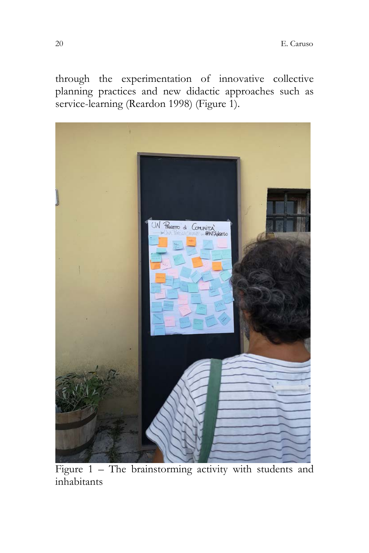through the experimentation of innovative collective planning practices and new didactic approaches such as service-learning (Reardon 1998) (Figure 1).



Figure 1 – The brainstorming activity with students and inhabitants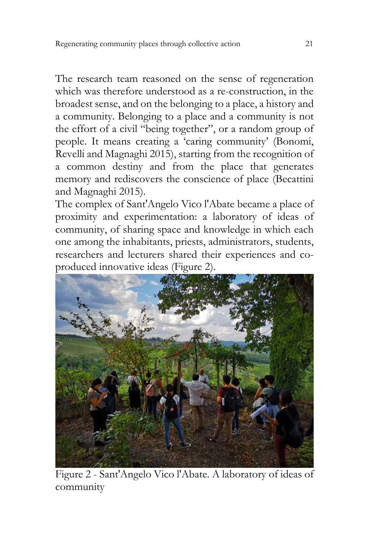The research team reasoned on the sense of regeneration which was therefore understood as a re-construction, in the broadest sense, and on the belonging to a place, a history and a community. Belonging to a place and a community is not the effort of a civil "being together", or a random group of people. It means creating a 'caring community' (Bonomi, Revelli and Magnaghi 2015), starting from the recognition of a common destiny and from the place that generates memory and rediscovers the conscience of place (Becattini and Magnaghi 2015).

The complex of Sant'Angelo Vico l'Abate became a place of proximity and experimentation: a laboratory of ideas of community, of sharing space and knowledge in which each one among the inhabitants, priests, administrators, students, researchers and lecturers shared their experiences and coproduced innovative ideas (Figure 2).



Figure 2 - Sant'Angelo Vico l'Abate. A laboratory of ideas of community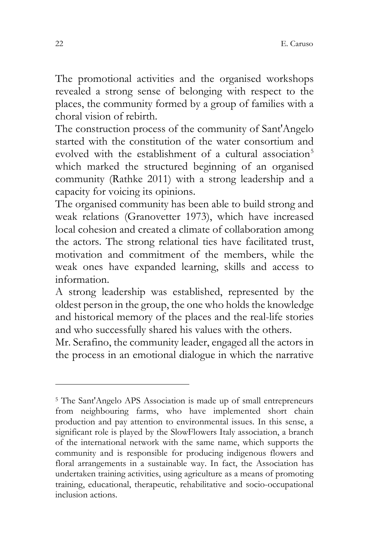The promotional activities and the organised workshops revealed a strong sense of belonging with respect to the places, the community formed by a group of families with a choral vision of rebirth.

The construction process of the community of Sant'Angelo started with the constitution of the water consortium and evolved with the establishment of a cultural association<sup>[5](#page-15-0)</sup> which marked the structured beginning of an organised community (Rathke 2011) with a strong leadership and a capacity for voicing its opinions.

The organised community has been able to build strong and weak relations (Granovetter 1973), which have increased local cohesion and created a climate of collaboration among the actors. The strong relational ties have facilitated trust, motivation and commitment of the members, while the weak ones have expanded learning, skills and access to information.

A strong leadership was established, represented by the oldest person in the group, the one who holds the knowledge and historical memory of the places and the real-life stories and who successfully shared his values with the others.

Mr. Serafino, the community leader, engaged all the actors in the process in an emotional dialogue in which the narrative

<span id="page-15-0"></span><sup>5</sup> The Sant'Angelo APS Association is made up of small entrepreneurs from neighbouring farms, who have implemented short chain production and pay attention to environmental issues. In this sense, a significant role is played by the SlowFlowers Italy association, a branch of the international network with the same name, which supports the community and is responsible for producing indigenous flowers and floral arrangements in a sustainable way. In fact, the Association has undertaken training activities, using agriculture as a means of promoting training, educational, therapeutic, rehabilitative and socio-occupational inclusion actions.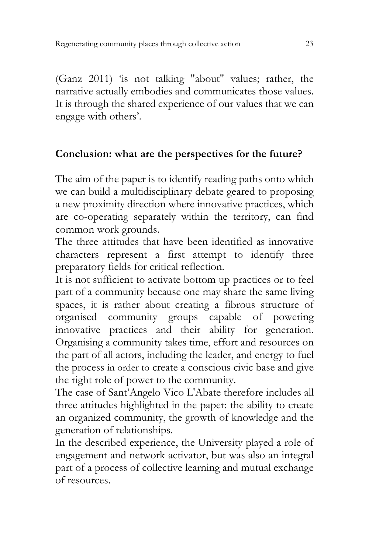(Ganz 2011) 'is not talking "about" values; rather, the narrative actually embodies and communicates those values. It is through the shared experience of our values that we can engage with others'.

## **Conclusion: what are the perspectives for the future?**

The aim of the paper is to identify reading paths onto which we can build a multidisciplinary debate geared to proposing a new proximity direction where innovative practices, which are co-operating separately within the territory, can find common work grounds.

The three attitudes that have been identified as innovative characters represent a first attempt to identify three preparatory fields for critical reflection.

It is not sufficient to activate bottom up practices or to feel part of a community because one may share the same living spaces, it is rather about creating a fibrous structure of organised community groups capable of powering innovative practices and their ability for generation. Organising a community takes time, effort and resources on the part of all actors, including the leader, and energy to fuel the process in order to create a conscious civic base and give the right role of power to the community.

The case of Sant'Angelo Vico L'Abate therefore includes all three attitudes highlighted in the paper: the ability to create an organized community, the growth of knowledge and the generation of relationships.

In the described experience, the University played a role of engagement and network activator, but was also an integral part of a process of collective learning and mutual exchange of resources.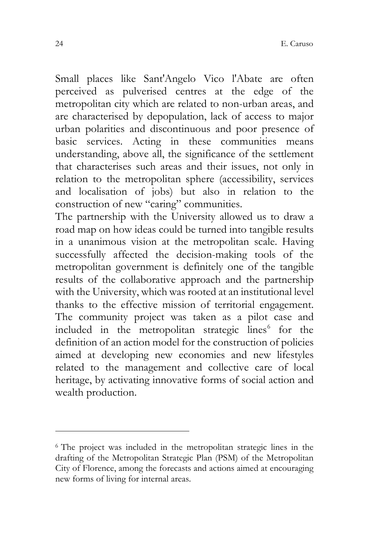Small places like Sant'Angelo Vico l'Abate are often perceived as pulverised centres at the edge of the metropolitan city which are related to non-urban areas, and are characterised by depopulation, lack of access to major urban polarities and discontinuous and poor presence of basic services. Acting in these communities means understanding, above all, the significance of the settlement that characterises such areas and their issues, not only in relation to the metropolitan sphere (accessibility, services and localisation of jobs) but also in relation to the construction of new "caring" communities.

The partnership with the University allowed us to draw a road map on how ideas could be turned into tangible results in a unanimous vision at the metropolitan scale. Having successfully affected the decision-making tools of the metropolitan government is definitely one of the tangible results of the collaborative approach and the partnership with the University, which was rooted at an institutional level thanks to the effective mission of territorial engagement. The community project was taken as a pilot case and included in the metropolitan strategic lines<sup>[6](#page-17-0)</sup> for the definition of an action model for the construction of policies aimed at developing new economies and new lifestyles related to the management and collective care of local heritage, by activating innovative forms of social action and wealth production.

<span id="page-17-0"></span><sup>&</sup>lt;sup>6</sup> The project was included in the metropolitan strategic lines in the drafting of the Metropolitan Strategic Plan (PSM) of the Metropolitan City of Florence, among the forecasts and actions aimed at encouraging new forms of living for internal areas.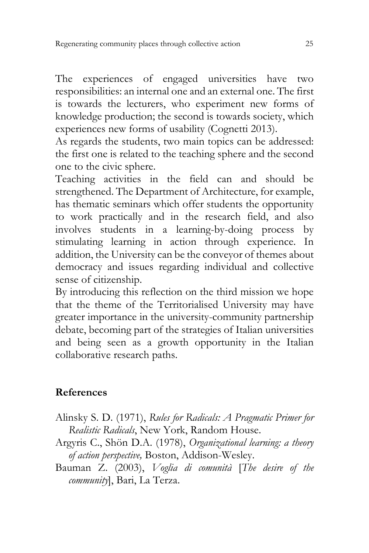The experiences of engaged universities have two responsibilities: an internal one and an external one. The first is towards the lecturers, who experiment new forms of knowledge production; the second is towards society, which experiences new forms of usability (Cognetti 2013).

As regards the students, two main topics can be addressed: the first one is related to the teaching sphere and the second one to the civic sphere.

Teaching activities in the field can and should be strengthened. The Department of Architecture, for example, has thematic seminars which offer students the opportunity to work practically and in the research field, and also involves students in a learning-by-doing process by stimulating learning in action through experience. In addition, the University can be the conveyor of themes about democracy and issues regarding individual and collective sense of citizenship.

By introducing this reflection on the third mission we hope that the theme of the Territorialised University may have greater importance in the university-community partnership debate, becoming part of the strategies of Italian universities and being seen as a growth opportunity in the Italian collaborative research paths.

# **References**

- Alinsky S. D. (1971), *Rules for Radicals: A Pragmatic Primer for Realistic Radicals*, New York, Random House.
- Argyris C., Shön D.A. (1978), *Organizational learning: a theory of action perspective,* Boston, Addison-Wesley.
- Bauman Z. (2003), *Voglia di comunità* [*The desire of the community*], Bari, La Terza.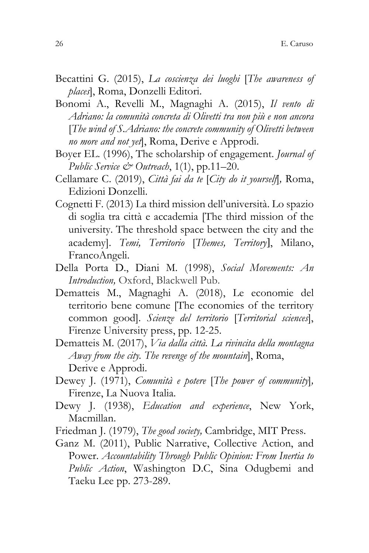- Becattini G. (2015), *La coscienza dei luoghi* [*The awareness of places*], Roma, Donzelli Editori.
- Bonomi A., Revelli M., Magnaghi A. (2015), *Il vento di Adriano: la comunità concreta di Olivetti tra non più e non ancora* [*The wind of S.Adriano: the concrete community of Olivetti between no more and not yet*], Roma, Derive e Approdi.
- Boyer EL. (1996), The scholarship of engagement. *Journal of Public Service & Outreach*, 1(1), pp.11–20.
- Cellamare C. (2019), *Città fai da te* [*City do it yourself*]*,* Roma, Edizioni Donzelli.
- Cognetti F. (2013) La third mission dell'università. Lo spazio di soglia tra città e accademia [The third mission of the university. The threshold space between the city and the academy]. *Temi, Territorio* [*Themes, Territory*], Milano, FrancoAngeli.
- Della Porta D., Diani M. (1998), *Social Movements: An Introduction,* Oxford, Blackwell Pub.
- Dematteis M., Magnaghi A. (2018), Le economie del territorio bene comune [The economies of the territory common good]. *Scienze del territorio* [*Territorial sciences*], Firenze University press, pp. 12-25.
- Dematteis M. (2017), *Via dalla città. La rivincita della montagna Away from the city. The revenge of the mountain*], Roma, Derive e Approdi.
- Dewey J. (1971), *Comunità e potere* [*The power of community*]*,*  Firenze, La Nuova Italia.
- Dewy J. (1938), *Education and experience*, New York, Macmillan.
- Friedman J. (1979), *The good society,* Cambridge, MIT Press.
- Ganz M. (2011), Public Narrative, Collective Action, and Power. *Accountability Through Public Opinion: From Inertia to Public Action*, Washington D.C, Sina Odugbemi and Taeku Lee pp. 273-289.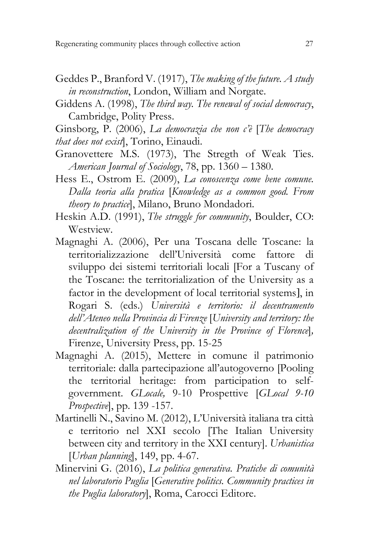- Geddes P., Branford V. (1917), *The making of the future. A study in reconstruction*, London, William and Norgate.
- Giddens A. (1998), *The third way. The renewal of social democracy*, Cambridge, Polity Press.

Ginsborg, P. (2006), *La democrazia che non c'è* [*The democracy that does not exist*], Torino, Einaudi.

- Granovettere M.S. (1973), The Stregth of Weak Ties. *American Journal of Sociology*, 78, pp. 1360 – 1380.
- Hess E., Ostrom E. (2009), *La conoscenza come bene comune. Dalla teoria alla pratica* [*Knowledge as a common good. From theory to practice*], Milano, Bruno Mondadori.
- Heskin A.D. (1991), *The struggle for community*, Boulder, CO: Westview.
- Magnaghi A. (2006), Per una Toscana delle Toscane: la territorializzazione dell'Università come fattore di sviluppo dei sistemi territoriali locali [For a Tuscany of the Toscane: the territorialization of the University as a factor in the development of local territorial systems], in Rogari S. (eds.) *Università e territorio: il decentramento dell'Ateneo nella Provincia di Firenze* [*University and territory: the decentralization of the University in the Province of Florence*]*,*  Firenze, University Press, pp. 15-25
- Magnaghi A. (2015), Mettere in comune il patrimonio territoriale: dalla partecipazione all'autogoverno [Pooling the territorial heritage: from participation to selfgovernment. *GLocale,* 9-10 Prospettive [*GLocal 9-10 Prospective*], pp. 139 -157.
- Martinelli N., Savino M. (2012), L'Università italiana tra città e territorio nel XXI secolo [The Italian University between city and territory in the XXI century]. *Urbanistica* [*Urban planning*], 149, pp. 4-67.
- Minervini G. (2016), *La politica generativa. Pratiche di comunità nel laboratorio Puglia* [*Generative politics. Community practices in the Puglia laboratory*], Roma, Carocci Editore.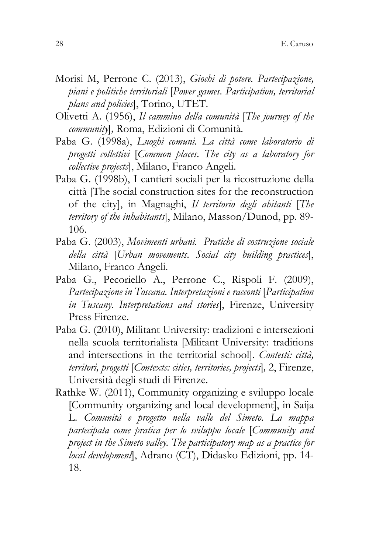- Morisi M, Perrone C. (2013), *Giochi di potere. Partecipazione, piani e politiche territoriali* [*Power games. Participation, territorial plans and policies*], Torino, UTET.
- Olivetti A. (1956), *Il cammino della comunità* [*The journey of the community*]*,* Roma, Edizioni di Comunità.
- Paba G. (1998a), *Luoghi comuni. La città come laboratorio di progetti collettivi* [*Common places. The city as a laboratory for collective projects*], Milano, Franco Angeli.
- Paba G. (1998b), I cantieri sociali per la ricostruzione della città [The social construction sites for the reconstruction of the city], in Magnaghi, *Il territorio degli abitanti* [*The territory of the inhabitants*], Milano, Masson/Dunod, pp. 89- 106.
- Paba G. (2003), *Movimenti urbani. Pratiche di costruzione sociale della città* [*Urban movements. Social city building practices*], Milano, Franco Angeli.
- Paba G., Pecoriello A., Perrone C., Rispoli F. (2009), *Partecipazione in Toscana. Interpretazioni e racconti* [*Participation in Tuscany. Interpretations and stories*], Firenze, University Press Firenze.
- Paba G. (2010), [Militant University: tradizioni e intersezioni](https://www.torrossa.com/en/resources/an/2491221)  [nella scuola territorialista](https://www.torrossa.com/en/resources/an/2491221) [Militant University: traditions and intersections in the territorial school]. *Contesti: città, territori, progetti* [*Contexts: cities, territories, projects*]*,* 2, Firenze, Università degli studi di Firenze.
- Rathke W. (2011), Community organizing e sviluppo locale [Community organizing and local development], in Saija L. *Comunità e progetto nella valle del Simeto. La mappa partecipata come pratica per lo sviluppo locale* [*Community and project in the Simeto valley. The participatory map as a practice for local development*], Adrano (CT), Didasko Edizioni, pp. 14- 18.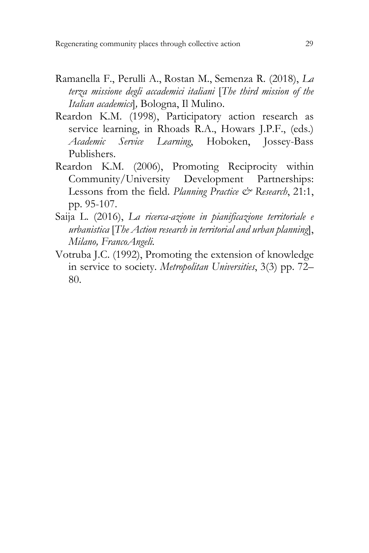- Ramanella F., [Perulli](https://www.ibs.it/search/?ts=as&query=angela+perulli&searchField=Contributors) A., Rostan M., [Semenza](https://www.ibs.it/search/?ts=as&query=renata+semenza&searchField=Contributors) R. (2018), *La terza missione degli accademici italiani* [*The third mission of the Italian academics*]*,* Bologna, Il Mulino.
- Reardon K.M. (1998), Participatory action research as service learning, in Rhoads R.A., Howars J.P.F., (eds.) *Academic Service Learning*, Hoboken, Jossey-Bass Publishers.
- Reardon K.M. (2006), Promoting Reciprocity within Community/University Development Partnerships: Lessons from the field. *Planning Practice* & Research, 21:1, pp. 95-107.
- Saija L. (2016), *La ricerca-azione in pianificazione territoriale e urbanistica* [*The Action research in territorial and urban planning*], *Milano, FrancoAngeli.*
- Votruba J.C. (1992), Promoting the extension of knowledge in service to society. *Metropolitan Universities*, 3(3) pp. 72– 80.